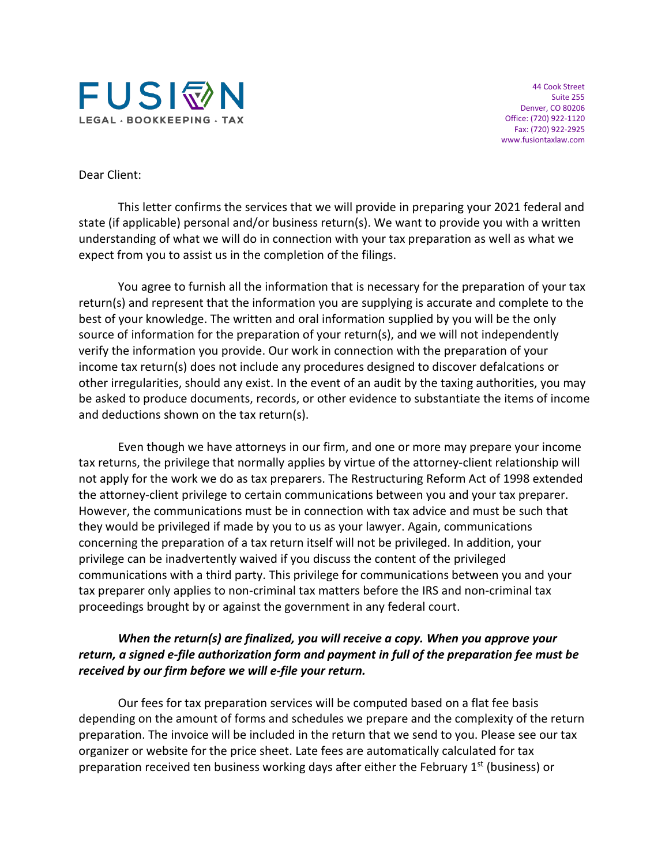

44 Cook Street Suite 255 Denver, CO 80206 Office: (720) 922-1120 Fax: (720) 922-2925 www.fusiontaxlaw.com

Dear Client:

This letter confirms the services that we will provide in preparing your 2021 federal and state (if applicable) personal and/or business return(s). We want to provide you with a written understanding of what we will do in connection with your tax preparation as well as what we expect from you to assist us in the completion of the filings.

You agree to furnish all the information that is necessary for the preparation of your tax return(s) and represent that the information you are supplying is accurate and complete to the best of your knowledge. The written and oral information supplied by you will be the only source of information for the preparation of your return(s), and we will not independently verify the information you provide. Our work in connection with the preparation of your income tax return(s) does not include any procedures designed to discover defalcations or other irregularities, should any exist. In the event of an audit by the taxing authorities, you may be asked to produce documents, records, or other evidence to substantiate the items of income and deductions shown on the tax return(s).

Even though we have attorneys in our firm, and one or more may prepare your income tax returns, the privilege that normally applies by virtue of the attorney-client relationship will not apply for the work we do as tax preparers. The Restructuring Reform Act of 1998 extended the attorney-client privilege to certain communications between you and your tax preparer. However, the communications must be in connection with tax advice and must be such that they would be privileged if made by you to us as your lawyer. Again, communications concerning the preparation of a tax return itself will not be privileged. In addition, your privilege can be inadvertently waived if you discuss the content of the privileged communications with a third party. This privilege for communications between you and your tax preparer only applies to non-criminal tax matters before the IRS and non-criminal tax proceedings brought by or against the government in any federal court.

## *When the return(s) are finalized, you will receive a copy. When you approve your return, a signed e-file authorization form and payment in full of the preparation fee must be received by our firm before we will e-file your return.*

Our fees for tax preparation services will be computed based on a flat fee basis depending on the amount of forms and schedules we prepare and the complexity of the return preparation. The invoice will be included in the return that we send to you. Please see our tax organizer or website for the price sheet. Late fees are automatically calculated for tax preparation received ten business working days after either the February  $1<sup>st</sup>$  (business) or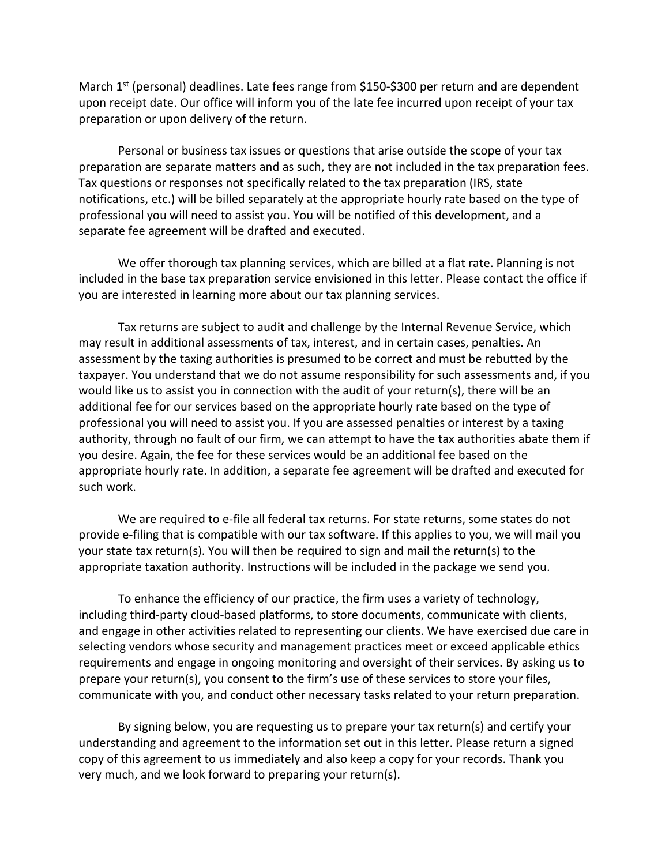March 1<sup>st</sup> (personal) deadlines. Late fees range from \$150-\$300 per return and are dependent upon receipt date. Our office will inform you of the late fee incurred upon receipt of your tax preparation or upon delivery of the return.

Personal or business tax issues or questions that arise outside the scope of your tax preparation are separate matters and as such, they are not included in the tax preparation fees. Tax questions or responses not specifically related to the tax preparation (IRS, state notifications, etc.) will be billed separately at the appropriate hourly rate based on the type of professional you will need to assist you. You will be notified of this development, and a separate fee agreement will be drafted and executed.

We offer thorough tax planning services, which are billed at a flat rate. Planning is not included in the base tax preparation service envisioned in this letter. Please contact the office if you are interested in learning more about our tax planning services.

Tax returns are subject to audit and challenge by the Internal Revenue Service, which may result in additional assessments of tax, interest, and in certain cases, penalties. An assessment by the taxing authorities is presumed to be correct and must be rebutted by the taxpayer. You understand that we do not assume responsibility for such assessments and, if you would like us to assist you in connection with the audit of your return(s), there will be an additional fee for our services based on the appropriate hourly rate based on the type of professional you will need to assist you. If you are assessed penalties or interest by a taxing authority, through no fault of our firm, we can attempt to have the tax authorities abate them if you desire. Again, the fee for these services would be an additional fee based on the appropriate hourly rate. In addition, a separate fee agreement will be drafted and executed for such work.

We are required to e-file all federal tax returns. For state returns, some states do not provide e-filing that is compatible with our tax software. If this applies to you, we will mail you your state tax return(s). You will then be required to sign and mail the return(s) to the appropriate taxation authority. Instructions will be included in the package we send you.

To enhance the efficiency of our practice, the firm uses a variety of technology, including third-party cloud-based platforms, to store documents, communicate with clients, and engage in other activities related to representing our clients. We have exercised due care in selecting vendors whose security and management practices meet or exceed applicable ethics requirements and engage in ongoing monitoring and oversight of their services. By asking us to prepare your return(s), you consent to the firm's use of these services to store your files, communicate with you, and conduct other necessary tasks related to your return preparation.

By signing below, you are requesting us to prepare your tax return(s) and certify your understanding and agreement to the information set out in this letter. Please return a signed copy of this agreement to us immediately and also keep a copy for your records. Thank you very much, and we look forward to preparing your return(s).